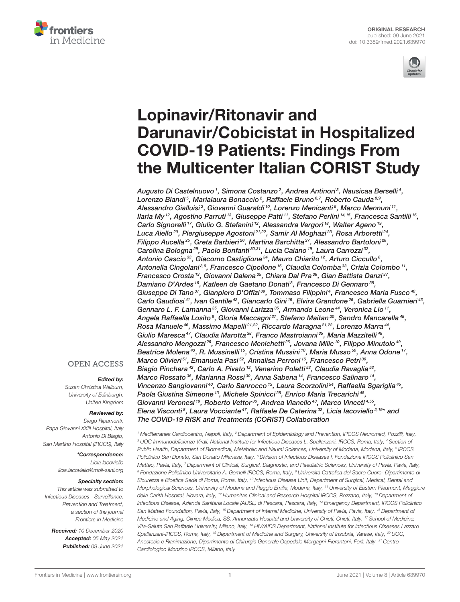



# Lopinavir/Ritonavir and Darunavir/Cobicistat in Hospitalized COVID-19 Patients: Findings From [the Multicenter Italian CORIST Study](https://www.frontiersin.org/articles/10.3389/fmed.2021.639970/full)

Augusto Di Castelnuovo  $^{\rm 1}$ , Simona Costanzo  $^{\rm 2}$ , Andrea Antinori  $^{\rm 3}$ , Nausicaa Berselli  $^{\rm 4}$ , Lorenzo Blandi<sup>5</sup>, Marialaura Bonaccio<sup>2</sup>, Raffaele Bruno<sup>6,7</sup>, Roberto Cauda<sup>8,9</sup>, Alessandro Gialluisi², Giovanni Guaraldi 1º, Lorenzo Menicanti§, Marco Mennuni 11, llaria My <sup>12</sup>, Agostino Parruti <sup>13</sup>, Giuseppe Patti <sup>11</sup>, Stefano Perlini <sup>14, 15</sup>, Francesca Santilli <sup>16</sup>, Carlo Signorelli<sup>17</sup>, Giulio G. Stefanini<sup>12</sup>, Alessandra Vergori<sup>18</sup>, Walter Ageno<sup>19</sup>, Luca Aiello $^{20}$ , Piergiuseppe Agostoni $^{21,22},$  Samir Al Moghazi $^{23},$  Rosa Arboretti $^{24},$ Filippo Aucella<sup>25</sup>, Greta Barbieri<sup>26</sup>, Martina Barchitta<sup>27</sup>, Alessandro Bartoloni<sup>28</sup>, Carolina Bologna<sup>29</sup>, Paolo Bonfanti<sup>30,31</sup>, Lucia Caiano<sup>19</sup>, Laura Carrozzi<sup>32</sup>, Antonio Cascio $^{33}$ , Giacomo Castiglione $^{34}$ , Mauro Chiarito $^{12}$ , Arturo Ciccullo $^8$ , Antonella Cingolani<sup>8,9</sup>, Francesco Cipollone<sup>16</sup>, Claudia Colomba<sup>33</sup>, Crizia Colombo<sup>11</sup>, Francesco Crosta $^{\text{13}}$ , Giovanni Dalena $^{\text{35}}$ , Chiara Dal Pra $^{\text{36}}$ , Gian Battista Danzi $^{\text{37}}$ , Damiano D'Ardes <sup>16</sup>, Katleen de Gaetano Donati<sup>8</sup>, Francesco Di Gennaro <sup>38</sup>, Giuseppe Di Tano<sup>37</sup>, Gianpiero D'Offizi<sup>39</sup>, Tommaso Filippini<sup>4</sup>, Francesco Maria Fusco<sup>40</sup>, Carlo Gaudiosi<sup>41</sup>, Ivan Gentile<sup>42</sup>, Giancarlo Gini<sup>19</sup>, Elvira Grandone<sup>25</sup>, Gabriella Guarnieri<sup>43</sup>, Gennaro L. F. Lamanna<sup>35</sup>, Giovanni Larizza<sup>35</sup>, Armando Leone<sup>44</sup>, Veronica Lio<sup>11</sup>, Angela Raffaella Losito $^{\text{8}},$  Gloria Maccagni $^{\text{37}},$  Stefano Maitan $^{\text{20}},$  Sandro Mancarella $^{\text{45}},$ Rosa Manuele <sup>46</sup>, Massimo Mapelli <sup>21,22</sup>, Riccardo Maragna <sup>21,22</sup>, Lorenzo Marra <sup>44</sup>, Giulio Maresca<sup>47</sup>, Claudia Marotta<sup>38</sup>, Franco Mastroianni<sup>35</sup>, Maria Mazzitelli<sup>48</sup>, Alessandro Mengozzi $^{26}$ , Francesco Menichetti $^{26}$ , Jovana Milic $^{10}$ , Filippo Minutolo $^{49}$ , Beatrice Molena $^{43}$ , R. Mussinelli  $^{15}$ , Cristina Mussini  $^{10}$ , Maria Musso  $^{50}$ , Anna Odone  $^{17}$ , Marco Olivieri<sup>51</sup>, Emanuela Pasi<sup>52</sup>, Annalisa Perroni<sup>16</sup>, Francesco Petri<sup>30</sup>, Biagio Pinchera<sup>42</sup>, Carlo A. Pivato <sup>12</sup>, Venerino Poletti<sup>53</sup>, Claudia Ravaglia<sup>53</sup>, Marco Rossato<sup>36</sup>, Marianna Rossi<sup>30</sup>, Anna Sabena<sup>14</sup>, Francesco Salinaro<sup>14</sup>, Vincenzo Sangiovanni<sup>40</sup>, Carlo Sanrocco<sup>13</sup>, Laura Scorzolini<sup>54</sup>, Raffaella Sgariglia<sup>45</sup>, Paola Giustina Simeone<sup>13</sup>, Michele Spinicci<sup>28</sup>, Enrico Maria Trecarichi<sup>48</sup>, Giovanni Veronesi<sup>19</sup>, Roberto Vettor<sup>36</sup>, Andrea Vianello<sup>43</sup>, Marco Vinceti<sup>4,55</sup>, Elena Visconti<sup>8</sup>, Laura Vocciante<sup>47</sup>, Raffaele De Caterina<sup>32</sup>, Licia lacoviello<sup>2,19\*</sup> and The COVID-19 RISK and Treatments (CORIST) Collaboration

<sup>1</sup> Mediterranea Cardiocentro, Napoli, Italy, <sup>2</sup> Department of Epidemiology and Prevention, IRCCS Neuromed, Pozzilli, Italy, <sup>3</sup> UOC Immunodeficienze Virali, National Institute for Infectious Diseases L. Spallanzani, IRCCS, Roma, Italy, <sup>4</sup> Section of Public Health, Department of Biomedical, Metabolic and Neural Sciences, University of Modena, Modena, Italy, 5 IRCCS Policlinico San Donato, San Donato Milanese, Italy, <sup>6</sup> Division of Infectious Diseases I, Fondazione IRCCS Policlinico San Matteo, Pavia, Italy, <sup>7</sup> Department of Clinical, Surgical, Diagnostic, and Paediatric Sciences, University of Pavia, Pavia, Italy, <sup>8</sup> Fondazione Policlinico Universitario A. Gemelli IRCCS, Roma, Italy, <sup>9</sup> Università Cattolica del Sacro Cuore- Dipartimento di Sicurezza e Bioetica Sede di Roma, Roma, Italy, <sup>10</sup> Infectious Disease Unit, Department of Surgical, Medical, Dental and Morphological Sciences, University of Modena and Reggio Emilia, Modena, Italy, <sup>11</sup> University of Eastern Piedmont, Maggiore della Carità Hospital, Novara, Italy, <sup>12</sup> Humanitas Clinical and Research Hospital IRCCS, Rozzano, Italy, <sup>13</sup> Department of Infectious Disease, Azienda Sanitaria Locale (AUSL) di Pescara, Pescara, Italy, <sup>14</sup> Emergency Department, IRCCS Policlinico San Matteo Foundation, Pavia, Italy, <sup>15</sup> Department of Internal Medicine, University of Pavia, Pavia, Italy, <sup>16</sup> Department of Medicine and Aging, Clinica Medica, SS. Annunziata Hospital and University of Chieti, Chieti, Italy, <sup>17</sup> School of Medicine, Vita-Salute San Raffaele University, Milano, Italy, <sup>18</sup> HIV/AIDS Department, National Institute for Infectious Diseases Lazzaro Spallanzani-IRCCS, Roma, Italy, <sup>19</sup> Department of Medicine and Surgery, University of Insubria, Varese, Italy, <sup>20</sup> UOC, Anestesia e Rianimazione, Dipartimento di Chirurgia Generale Ospedale Morgagni-Pierantoni, Forlì, Italy, <sup>21</sup> Centro Cardiologico Monzino IRCCS, Milano, Italy

#### **OPEN ACCESS**

#### Edited by:

Susan Christina Welburn, University of Edinburgh, United Kingdom

#### Reviewed by:

Diego Ripamonti, Papa Giovanni XXIII Hospital, Italy Antonio Di Biagio, San Martino Hospital (IRCCS), Italy

> \*Correspondence: Licia Iacoviello [licia.iacoviello@moli-sani.org](mailto:licia.iacoviello@moli-sani.org)

#### Specialty section:

This article was submitted to Infectious Diseases - Surveillance, Prevention and Treatment, a section of the journal Frontiers in Medicine

Received: 10 December 2020 Accepted: 05 May 2021 Published: 09 June 2021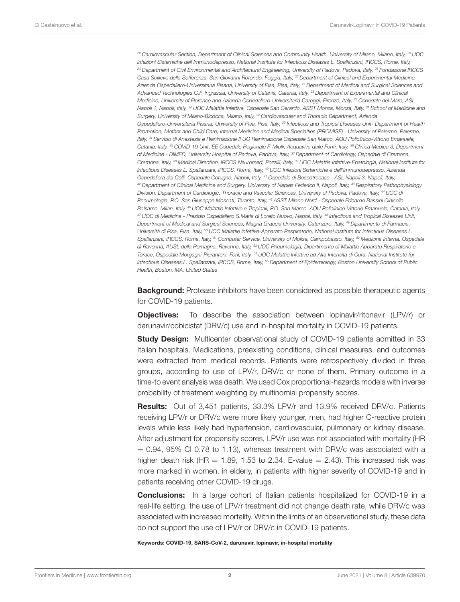<sup>22</sup> Cardiovascular Section, Department of Clinical Sciences and Community Health, University of Milano, Milano, Italy, <sup>23</sup> UOC Infezioni Sistemiche dell'Immunodepresso, National Institute for Infectious Diseases L. Spallanzani, IRCCS, Rome, Italy, <sup>24</sup> Department of Civil Environmental and Architectural Engineering, University of Padova, Padova, Italy, <sup>25</sup> Fondazione IRCCS Casa Sollievo della Sofferenza, San Giovanni Rotondo, Foggia, Italy, <sup>26</sup> Department of Clinical and Experimental Medicine, Azienda Ospedaliero-Universitaria Pisana, University of Pisa, Pisa, Italy, <sup>27</sup> Department of Medical and Surgical Sciences and Advanced Technologies G.F. Ingrassia, University of Catania, Catania, Italy, <sup>28</sup> Department of Experimental and Clinical Medicine, University of Florence and Azienda Ospedaliero-Universitaria Careggi, Firenze, Italy, <sup>29</sup> Ospedale del Mare, ASL Napoli 1, Napoli, Italy, <sup>30</sup> UOC Malattie Infettive, Ospedale San Gerardo, ASST Monza, Monza, Italy, <sup>31</sup> School of Medicine and Surgery, University of Milano-Bicocca, Milano, Italy, <sup>32</sup> Cardiovascular and Thoracic Department, Azienda Ospedaliero-Universitaria Pisana, University of Pisa, Pisa, Italy, <sup>33</sup> Infectious and Tropical Diseases Unit- Department of Health Promotion, Mother and Child Care, Internal Medicine and Medical Specialties (PROMISE) - University of Palermo, Palermo, Italy, <sup>34</sup> Servizio di Anestesia e Rianimazione II UO Rianimazione Ospedale San Marco, AOU Policlinico-Vittorio Emanuele, Catania, Italy, <sup>35</sup> COVID-19 Unit, EE Ospedale Regionale F. Miulli, Acquaviva delle Fonti, Italy, <sup>36</sup> Clinica Medica 3, Department of Medicine - DIMED, University Hospital of Padova, Padova, Italy, <sup>37</sup> Department of Cardiology, Ospedale di Cremona, Cremona, Italy, <sup>38</sup> Medical Direction, IRCCS Neuromed, Pozzilli, Italy, <sup>39</sup> UOC Malattie Infettive-Epatologia, National Institute for Infectious Diseases L. Spallanzani, IRCCS, Roma, Italy, <sup>40</sup> UOC Infezioni Sistemiche e dell'Immunodepresso, Azienda Ospedaliera dei Colli, Ospedale Cotugno, Napoli, Italy, <sup>41</sup> Ospedale di Boscotrecase - ASL Napoli 3, Napoli, Italy, 42 Department of Clinical Medicine and Surgery, University of Naples Federico II, Napoli, Italy, 43 Respiratory Pathophysiology Division, Department of Cardiologic, Thoracic and Vascular Sciences, University of Padova, Padova, Italy, <sup>44</sup> UOC di Pneumologia, P.O. San Giuseppe Moscati, Taranto, Italy, <sup>45</sup> ASST Milano Nord - Ospedale Edoardo Bassini Cinisello Balsamo, Milan, Italy, <sup>46</sup> UOC Malattie Infettive e Tropicali, P.O. San Marco, AOU Policlinico-Vittorio Emanuele, Catania, Italy, <sup>47</sup> UOC di Medicina - Presidio Ospedaliero S.Maria di Loreto Nuovo, Napoli, Italy, <sup>48</sup> Infectious and Tropical Diseases Unit, Department of Medical and Surgical Sciences, Magna Graecia University, Catanzaro, Italy, <sup>49</sup> Dipartimento di Farmacia, Università di Pisa, Pisa, Italy, <sup>50</sup> UOC Malattie Infettive-Apparato Respiratorio, National Institute for Infectious Diseases L. Spallanzani, IRCCS, Roma, Italy, <sup>51</sup> Computer Service, University of Molise, Campobasso, Italy, <sup>52</sup> Medicina Interna. Ospedale di Ravenna, AUSL della Romagna, Ravenna, Italy, <sup>53</sup> UOC Pneumologia, Dipartimento di Malattie Apparato Respiratorio e Torace, Ospedale Morgagni-Pierantoni, Forlì, Italy, <sup>54</sup> UOC Malattie Infettive ad Alta Intensità di Cura, National Institute for Infectious Diseases L. Spallanzani, IRCCS, Rome, Italy, <sup>55</sup> Department of Epidemiology, Boston University School of Public Health, Boston, MA, United States

**Background:** Protease inhibitors have been considered as possible therapeutic agents for COVID-19 patients.

**Objectives:** To describe the association between lopinavir/ritonavir (LPV/r) or darunavir/cobicistat (DRV/c) use and in-hospital mortality in COVID-19 patients.

**Study Design:** Multicenter observational study of COVID-19 patients admitted in 33 Italian hospitals. Medications, preexisting conditions, clinical measures, and outcomes were extracted from medical records. Patients were retrospectively divided in three groups, according to use of LPV/r, DRV/c or none of them. Primary outcome in a time-to event analysis was death. We used Cox proportional-hazards models with inverse probability of treatment weighting by multinomial propensity scores.

Results: Out of 3,451 patients, 33.3% LPV/r and 13.9% received DRV/c. Patients receiving LPV/r or DRV/c were more likely younger, men, had higher C-reactive protein levels while less likely had hypertension, cardiovascular, pulmonary or kidney disease. After adjustment for propensity scores, LPV/r use was not associated with mortality (HR  $= 0.94$ , 95% CI 0.78 to 1.13), whereas treatment with DRV/c was associated with a higher death risk (HR  $= 1.89$ , 1.53 to 2.34, E-value  $= 2.43$ ). This increased risk was more marked in women, in elderly, in patients with higher severity of COVID-19 and in patients receiving other COVID-19 drugs.

**Conclusions:** In a large cohort of Italian patients hospitalized for COVID-19 in a real-life setting, the use of LPV/r treatment did not change death rate, while DRV/c was associated with increased mortality. Within the limits of an observational study, these data do not support the use of LPV/r or DRV/c in COVID-19 patients.

Keywords: COVID-19, SARS-CoV-2, darunavir, lopinavir, in-hospital mortality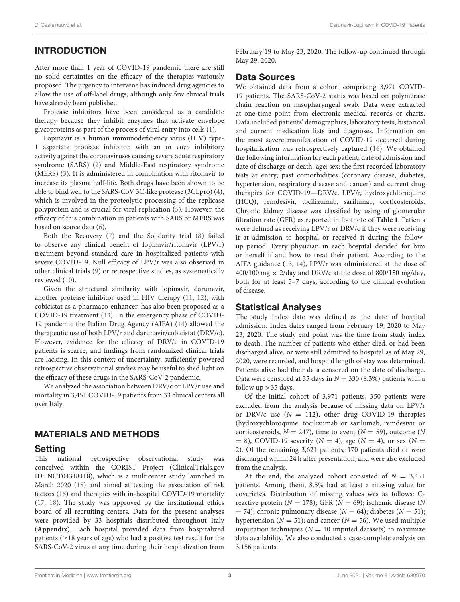# INTRODUCTION

After more than 1 year of COVID-19 pandemic there are still no solid certainties on the efficacy of the therapies variously proposed. The urgency to intervene has induced drug agencies to allow the use of off-label drugs, although only few clinical trials have already been published.

Protease inhibitors have been considered as a candidate therapy because they inhibit enzymes that activate envelope glycoproteins as part of the process of viral entry into cells [\(1\)](#page-7-0).

Lopinavir is a human immunodeficiency virus (HIV) type-1 aspartate protease inhibitor, with an in vitro inhibitory activity against the coronaviruses causing severe acute respiratory syndrome (SARS) [\(2\)](#page-7-1) and Middle-East respiratory syndrome (MERS) [\(3\)](#page-7-2). It is administered in combination with ritonavir to increase its plasma half-life. Both drugs have been shown to be able to bind well to the SARS-CoV 3C-like protease (3CLpro) [\(4\)](#page-7-3), which is involved in the proteolytic processing of the replicase polyprotein and is crucial for viral replication [\(5\)](#page-7-4). However, the efficacy of this combination in patients with SARS or MERS was based on scarce data [\(6\)](#page-7-5).

Both the Recovery [\(7\)](#page-8-0) and the Solidarity trial [\(8\)](#page-8-1) failed to observe any clinical benefit of lopinavir/ritonavir (LPV/r) treatment beyond standard care in hospitalized patients with severe COVID-19. Null efficacy of LPV/r was also observed in other clinical trials [\(9\)](#page-8-2) or retrospective studies, as systematically reviewed [\(10\)](#page-8-3).

Given the structural similarity with lopinavir, darunavir, another protease inhibitor used in HIV therapy [\(11,](#page-8-4) [12\)](#page-8-5), with cobicistat as a pharmaco-enhancer, has also been proposed as a COVID-19 treatment [\(13\)](#page-8-6). In the emergency phase of COVID-19 pandemic the Italian Drug Agency (AIFA) [\(14\)](#page-8-7) allowed the therapeutic use of both LPV/r and darunavir/cobicistat (DRV/c). However, evidence for the efficacy of DRV/c in COVID-19 patients is scarce, and findings from randomized clinical trials are lacking. In this context of uncertainty, sufficiently powered retrospective observational studies may be useful to shed light on the efficacy of these drugs in the SARS-CoV-2 pandemic.

We analyzed the association between DRV/c or LPV/r use and mortality in 3,451 COVID-19 patients from 33 clinical centers all over Italy.

# MATERIALS AND METHODS

#### Setting

This national retrospective observational study was conceived within the CORIST Project (ClinicalTrials.gov ID: NCT04318418), which is a multicenter study launched in March 2020 [\(15\)](#page-8-8) and aimed at testing the association of risk factors [\(16\)](#page-8-9) and therapies with in-hospital COVID-19 mortality [\(17,](#page-8-10) [18\)](#page-8-11). The study was approved by the institutional ethics board of all recruiting centers. Data for the present analyses were provided by 33 hospitals distributed throughout Italy (**[Appendix](#page-10-0)**). Each hospital provided data from hospitalized patients ( $\geq$ 18 years of age) who had a positive test result for the SARS-CoV-2 virus at any time during their hospitalization from February 19 to May 23, 2020. The follow-up continued through May 29, 2020.

## Data Sources

We obtained data from a cohort comprising 3,971 COVID-19 patients. The SARS-CoV-2 status was based on polymerase chain reaction on nasopharyngeal swab. Data were extracted at one-time point from electronic medical records or charts. Data included patients' demographics, laboratory tests, historical and current medication lists and diagnoses. Information on the most severe manifestation of COVID-19 occurred during hospitalization was retrospectively captured [\(16\)](#page-8-9). We obtained the following information for each patient: date of admission and date of discharge or death; age; sex; the first recorded laboratory tests at entry; past comorbidities (coronary disease, diabetes, hypertension, respiratory disease and cancer) and current drug therapies for COVID-19—DRV/c, LPV/r, hydroxychloroquine (HCQ), remdesivir, tocilizumab, sarilumab, corticosteroids. Chronic kidney disease was classified by using of glomerular filtration rate (GFR) as reported in footnote of **[Table 1](#page-3-0)**. Patients were defined as receiving LPV/r or DRV/c if they were receiving it at admission to hospital or received it during the followup period. Every physician in each hospital decided for him or herself if and how to treat their patient. According to the AIFA guidance [\(13,](#page-8-6) [14\)](#page-8-7), LPV/r was administered at the dose of  $400/100$  mg  $\times$  2/day and DRV/c at the dose of 800/150 mg/day, both for at least 5–7 days, according to the clinical evolution of disease.

# Statistical Analyses

The study index date was defined as the date of hospital admission. Index dates ranged from February 19, 2020 to May 23, 2020. The study end point was the time from study index to death. The number of patients who either died, or had been discharged alive, or were still admitted to hospital as of May 29, 2020, were recorded, and hospital length of stay was determined. Patients alive had their data censored on the date of discharge. Data were censored at 35 days in  $N = 330$  (8.3%) patients with a follow  $up >35$  days.

Of the initial cohort of 3,971 patients, 350 patients were excluded from the analysis because of missing data on LPV/r or DRV/c use  $(N = 112)$ , other drug COVID-19 therapies (hydroxychloroquine, tocilizumab or sarilumab, remdesivir or corticosteroids,  $N = 247$ ), time to event ( $N = 59$ ), outcome (N  $= 8$ ), COVID-19 severity ( $N = 4$ ), age ( $N = 4$ ), or sex ( $N = 4$ ) 2). Of the remaining 3,621 patients, 170 patients died or were discharged within 24 h after presentation, and were also excluded from the analysis.

At the end, the analyzed cohort consisted of  $N = 3,451$ patients. Among them, 8.5% had at least a missing value for covariates. Distribution of missing values was as follows: Creactive protein ( $N = 178$ ); GFR ( $N = 69$ ); ischemic disease ( $N$  $=$  74); chronic pulmonary disease ( $N = 64$ ); diabetes ( $N = 51$ ); hypertension ( $N = 51$ ); and cancer ( $N = 56$ ). We used multiple imputation techniques ( $N = 10$  imputed datasets) to maximize data availability. We also conducted a case-complete analysis on 3,156 patients.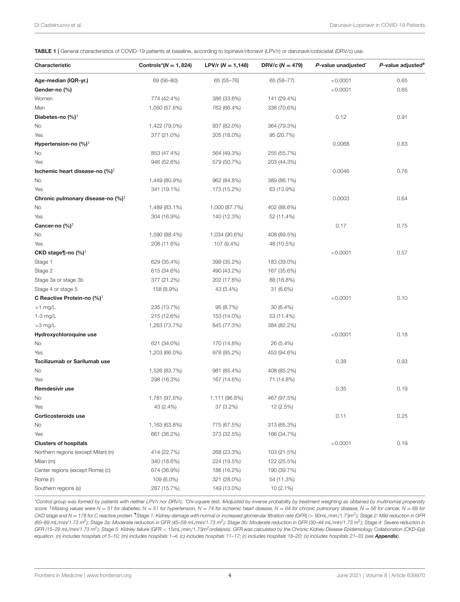<span id="page-3-0"></span>TABLE 1 | General characteristics of COVID-19 patients at baseline, according to lopinavir/ritonavir (LPV/r) or darunavir/cobicistat (DRV/c) use.

| Characteristic                                | Controls* $(N = 1, 824)$ | LPV/r $(N = 1,148)$ | DRV/c ( $N = 479$ ) | P-value unadjusted | P-value adjusted <sup>#</sup> |
|-----------------------------------------------|--------------------------|---------------------|---------------------|--------------------|-------------------------------|
| Age-median (IQR-yr.)                          | 69 (56-80)               | 65 (55-76)          | 65 (58-77)          | < 0.0001           | 0.65                          |
| Gender-no (%)                                 |                          |                     |                     | < 0.0001           | 0.65                          |
| Women                                         | 774 (42.4%)              | 386 (33.6%)         | 141 (29.4%)         |                    |                               |
| Men                                           | 1,050 (57.6%)            | 762 (66.4%)         | 338 (70.6%)         |                    |                               |
| Diabetes-no (%)‡                              |                          |                     |                     | 0.12               | 0.91                          |
| No                                            | 1,422 (79.0%)            | 937 (82.0%)         | 364 (79.3%)         |                    |                               |
| Yes                                           | 377 (21.0%)              | 205 (18.0%)         | 95 (20.7%)          |                    |                               |
| Hypertension-no $(\%)^{\ddagger}$             |                          |                     |                     | 0.0068             | 0.63                          |
| No                                            | 853 (47.4%)              | 564 (49.3%)         | 255 (55.7%)         |                    |                               |
| Yes                                           | 946 (52.6%)              | 579 (50.7%)         | 203 (44.3%)         |                    |                               |
| Ischemic heart disease-no (%) <sup>‡</sup>    |                          |                     |                     | 0.0046             | 0.76                          |
| No                                            | 1,449 (80.9%)            | 962 (84.8%)         | 389 (86.1%)         |                    |                               |
| Yes                                           | 341 (19.1%)              | 173 (15.2%)         | 63 (13.9%)          |                    |                               |
| Chronic pulmonary disease-no (%) <sup>‡</sup> |                          |                     |                     | 0.0003             | 0.64                          |
| No                                            | 1,489 (83.1%)            | 1,000 (87.7%)       | 402 (88.6%)         |                    |                               |
| Yes                                           | 304 (16.9%)              | 140 (12.3%)         | 52 (11.4%)          |                    |                               |
| Cancer-no (%) <sup>‡</sup>                    |                          |                     |                     | 0.17               | 0.75                          |
| No                                            | 1,590 (88.4%)            | 1,034 (90.6%)       | 408 (89.5%)         |                    |                               |
| Yes                                           | 208 (11.6%)              | 107 (9.4%)          | 48 (10.5%)          |                    |                               |
| CKD stage¶-no $(\%)^{\ddagger}$               |                          |                     |                     | < 0.0001           | 0.57                          |
| Stage 1                                       | 629 (35.4%)              | 399 (35.2%)         | 183 (39.0%)         |                    |                               |
| Stage 2                                       | 615 (34.6%)              | 490 (43.2%)         | 167 (35.6%)         |                    |                               |
| Stage 3a or stage 3b                          | 377 (21.2%)              | 202 (17.8%)         | 88 (18.8%)          |                    |                               |
| Stage 4 or stage 5                            | 158 (8.9%)               | 43 (3.4%)           | 31 (6.6%)           |                    |                               |
| C Reactive Protein-no (%) <sup>‡</sup>        |                          |                     |                     | < 0.0001           | 0.10                          |
| $<$ 1 mg/L                                    | 235 (13.7%)              | 95 (8.7%)           | 30 (6.4%)           |                    |                               |
| 1-3 mg/L                                      | 215 (12.6%)              | 153 (14.0%)         | 53 (11.4%)          |                    |                               |
| $>3$ mg/L                                     | 1,263 (73.7%)            | 845 (77.3%)         | 384 (82.2%)         |                    |                               |
| Hydroxychloroquine use                        |                          |                     |                     | < 0.0001           | 0.18                          |
| No                                            | 621 (34.0%)              | 170 (14.8%)         | 26 (5.4%)           |                    |                               |
| Yes                                           | 1,203 (66.0%)            | 978 (85.2%)         | 453 (94.6%)         |                    |                               |
| Tocilizumab or Sarilumab use                  |                          |                     |                     | 0.38               | 0.93                          |
| No                                            | 1,526 (83.7%)            | 981 (85.4%)         | 408 (85.2%)         |                    |                               |
| Yes                                           | 298 (16.3%)              | 167 (14.6%)         | 71 (14.8%)          |                    |                               |
| Remdesivir use                                |                          |                     |                     | 0.35               | 0.19                          |
| No                                            | 1,781 (97.6%)            | 1,111 (96.8%)       | 467 (97.5%)         |                    |                               |
| Yes                                           | 43 (2.4%)                | 37 (3.2%)           | 12 (2.5%)           |                    |                               |
| Corticosteroids use                           |                          |                     |                     | 0.11               | 0.25                          |
| No                                            | 1,163 (63.8%)            | 775 (67.5%)         | 313 (65.3%)         |                    |                               |
| Yes                                           | 661 (36.2%)              | 373 (32.5%)         | 166 (34.7%)         |                    |                               |
| <b>Clusters of hospitals</b>                  |                          |                     |                     | < 0.0001           | 0.19                          |
| Northern regions (except Milan) (n)           | 414 (22.7%)              | 268 (23.3%)         | 103 (21.5%)         |                    |                               |
| Milan (m)                                     | 340 (18.6%)              | 224 (19.5%)         | 122 (25.5%)         |                    |                               |
| Center regions (except Rome) (c)              | 674 (36.9%)              | 186 (16.2%)         | 190 (39.7%)         |                    |                               |
| Rome (r)                                      | 109 (6.0%)               | 321 (28.0%)         | 54 (11.3%)          |                    |                               |
| Southern regions (s)                          | 287 (15.7%)              | 149 (13.0%)         | 10 (2.1%)           |                    |                               |

\*Control group was formed by patients with neither LPV/r nor DRV/c. ˆChi-square test. #Adjusted by inverse probability by treatment weighting as obtained by multinomial propensity score.  $\frac{1}{2}$ Missing values were N = 51 for diabetes, N = 51 for hypertension, N = 74 for ischemic heart disease, N = 64 for chronic pulmonary disease, N = 56 for cancer, N = 69 for CKD stage and N = 178 for C reactive protein. "Stage 1: Kidney damage with normal or increased glomerular filtration rate (GFR) (> 90mL/min/1.73m<sup>2</sup>); Stage 2: Mild reduction in GFR (60–89 mL/min/1.73 m<sup>2</sup>); Stage 3a: Moderate reduction in GFR (45–59 mL/min/1.73 m<sup>2</sup>); Stage 3b: Moderate reduction in GFR (30–44 mL/min/1.73 m<sup>2</sup>); Stage 4: Severe reduction in GFR (15–29 mL/min/1.73 m<sup>2</sup>); Stage 5: Kidney failure (GFR < 15mL/min/1.73m<sup>2</sup>ordialysis). GFR was calculated by the Chronic Kidney Disease Epidemiology Collaboration (CKD-Epi) equation. (n) includes hospitals of 5-10; (m) includes hospitals 1-4; (c) includes hospitals 11-17; (r) includes hospitals 18-20; (s) includes hospitals 21-33 (see [Appendix](#page-10-0)).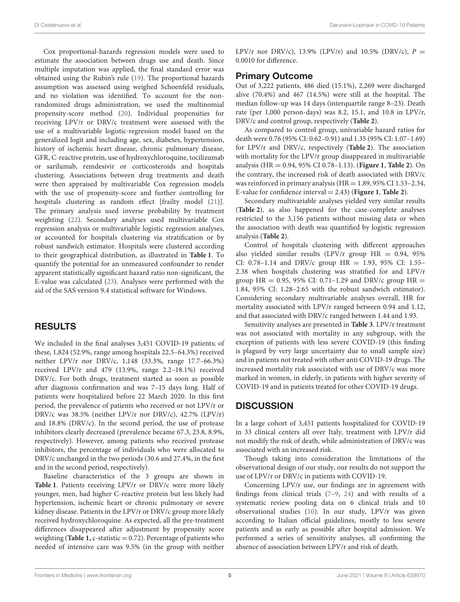Cox proportional-hazards regression models were used to estimate the association between drugs use and death. Since multiple imputation was applied, the final standard error was obtained using the Rubin's rule [\(19\)](#page-8-12). The proportional hazards assumption was assessed using weighed Schoenfeld residuals, and no violation was identified. To account for the nonrandomized drugs administration, we used the multinomial propensity-score method [\(20\)](#page-8-13). Individual propensities for receiving LPV/r or DRV/c treatment were assessed with the use of a multivariable logistic-regression model based on the generalized logit and including age, sex, diabetes, hypertension, history of ischemic heart disease, chronic pulmonary disease, GFR, C-reactive protein, use of hydroxychloroquine, tocilizumab or sarilumab, remdesivir or corticosteroids and hospitals clustering. Associations between drug treatments and death were then appraised by multivariable Cox regression models with the use of propensity-score and further controlling for hospitals clustering as random effect [frailty model [\(21\)](#page-8-14)]. The primary analysis used inverse probability by treatment weighting [\(22\)](#page-8-15). Secondary analyses used multivariable Cox regression analysis or multivariable logistic regression analyses, or accounted for hospitals clustering via stratification or by robust sandwich estimator. Hospitals were clustered according to their geographical distribution, as illustrated in **[Table 1](#page-3-0)**. To quantify the potential for an unmeasured confounder to render apparent statistically significant hazard ratio non-significant, the E-value was calculated [\(23\)](#page-8-16). Analyses were performed with the aid of the SAS version 9.4 statistical software for Windows.

# RESULTS

We included in the final analyses 3,451 COVID-19 patients; of these, 1,824 (52.9%, range among hospitals 22.5–64.3%) received neither LPV/r nor DRV/c, 1,148 (33.3%, range 17.7–66.3%) received LPV/r and 479 (13.9%, range 2.2–18.1%) received DRV/c. For both drugs, treatment started as soon as possible after diagnosis confirmation and was 7–15 days long. Half of patients were hospitalized before 22 March 2020. In this first period, the prevalence of patients who received or not LPV/r or DRV/c was 38.5% (neither LPV/r nor DRV/c), 42.7% (LPV/r) and 18.8% (DRV/c). In the second period, the use of protease inhibitors clearly decreased (prevalence became 67.3, 23.8, 8.9%, respectively). However, among patients who received protease inhibitors, the percentage of individuals who were allocated to DRV/c unchanged in the two periods (30.6 and 27.4%, in the first and in the second period, respectively).

Baseline characteristics of the 3 groups are shown in **[Table 1](#page-3-0)**. Patients receiving LPV/r or DRV/c were more likely younger, men, had higher C-reactive protein but less likely had hypertension, ischemic heart or chronic pulmonary or severe kidney disease. Patients in the LPV/r or DRV/c group more likely received hydroxychloroquine. As expected, all the pre-treatment differences disappeared after adjustment by propensity score weighting (**[Table 1,](#page-3-0)** c-statistic = 0.72). Percentage of patients who needed of intensive care was 9.5% (in the group with neither LPV/r nor DRV/c), 13.9% (LPV/r) and 10.5% (DRV/c),  $P =$ 0.0010 for difference.

## Primary Outcome

Out of 3,222 patients, 486 died (15.1%), 2,269 were discharged alive (70.4%) and 467 (14.5%) were still at the hospital. The median follow-up was 14 days (interquartile range 8–23). Death rate (per 1,000 person-days) was 8.2, 15.1, and 10.8 in LPV/r, DRV/c and control group, respectively (**[Table 2](#page-5-0)**).

As compared to control group, univariable hazard ratios for death were 0.76 (95% CI: 0.62–0.91) and 1.35 (95% CI: 1.07–1.69) for LPV/r and DRV/c, respectively (**[Table 2](#page-5-0)**). The association with mortality for the LPV/r group disappeared in multivariable analysis (HR = 0.94, 95% CI 0.78–1.13). (**[Figure 1](#page-5-1)**, **[Table 2](#page-5-0)**). On the contrary, the increased risk of death associated with DRV/c was reinforced in primary analysis ( $HR = 1.89$ ,  $95\%$  CI 1.53-2.34, E-value for confidence interval = 2.43) (**[Figure 1](#page-5-1)**, **[Table 2](#page-5-0)**).

Secondary multivariable analyses yielded very similar results (**[Table 2](#page-5-0)**), as also happened for the case-complete analyses restricted to the 3,156 patients without missing data or when the association with death was quantified by logistic regression analysis (**[Table 2](#page-5-0)**).

Control of hospitals clustering with different approaches also yielded similar results (LPV/r group  $HR = 0.94$ , 95% CI: 0.78-1.14 and DRV/c group  $HR = 1.93$ , 95% CI: 1.55-2.38 when hospitals clustering was stratified for and LPV/r group HR = 0.95, 95% CI: 0.71–1.29 and DRV/c group HR = 1.84, 95% CI: 1.28–2.65 with the robust sandwich estimator). Considering secondary multivariable analyses overall, HR for mortality associated with LPV/r ranged between 0.94 and 1.12, and that associated with DRV/c ranged between 1.44 and 1.93.

Sensitivity analyses are presented in **[Table 3](#page-6-0)**. LPV/r treatment was not associated with mortality in any subgroup, with the exception of patients with less severe COVID-19 (this finding is plagued by very large uncertainty due to small sample size) and in patients not treated with other anti COVID-19 drugs. The increased mortality risk associated with use of DRV/c was more marked in women, in elderly, in patients with higher severity of COVID-19 and in patients treated for other COVID-19 drugs.

# **DISCUSSION**

In a large cohort of 3,451 patients hospitalized for COVID-19 in 33 clinical centers all over Italy, treatment with LPV/r did not modify the risk of death, while administration of DRV/c was associated with an increased risk.

Though taking into consideration the limitations of the observational design of our study, our results do not support the use of LPV/r or DRV/c in patients with COVID-19.

Concerning LPV/r use, our findings are in agreement with findings from clinical trials [\(7–](#page-8-0)[9,](#page-8-2) [24\)](#page-8-17) and with results of a systematic review pooling data on 6 clinical trials and 10 observational studies [\(10\)](#page-8-3). In our study, LPV/r was given according to Italian official guidelines, mostly to less severe patients and as early as possible after hospital admission. We performed a series of sensitivity analyses, all confirming the absence of association between LPV/r and risk of death.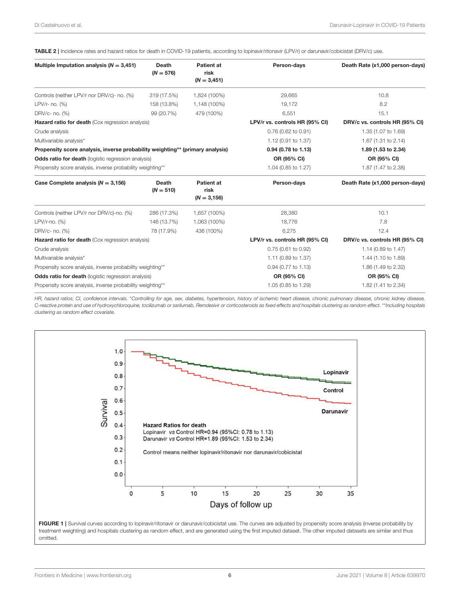<span id="page-5-0"></span>TABLE 2 | Incidence rates and hazard ratios for death in COVID-19 patients, according to lopinavir/ritonavir (LPV/r) or darunavir/cobicistat (DRV/c) use.

| Multiple Imputation analysis ( $N = 3,451$ )                                  | Death<br>$(N = 576)$ | Patient at<br>risk<br>$(N = 3,451)$         | Person-days                    | Death Rate (x1,000 person-days) |  |
|-------------------------------------------------------------------------------|----------------------|---------------------------------------------|--------------------------------|---------------------------------|--|
| Controls (neither LPV/r nor DRV/c)- no. (%)                                   | 319 (17.5%)          | 1,824 (100%)                                | 29,665                         | 10.8                            |  |
| LPV/r- no. (%)                                                                | 158 (13.8%)          | 1,148 (100%)                                | 19,172                         | 8.2                             |  |
| DRV/c- no. (%)                                                                | 99 (20.7%)           | 479 (100%)                                  | 6,551                          | 15.1                            |  |
| <b>Hazard ratio for death (Cox regression analysis)</b>                       |                      | LPV/r vs. controls HR (95% CI)              | DRV/c vs. controls HR (95% CI) |                                 |  |
| Crude analysis                                                                |                      |                                             | $0.76$ (0.62 to 0.91)          | 1.35 (1.07 to 1.69)             |  |
| Multivariable analysis*                                                       |                      |                                             | 1.12 (0.91 to 1.37)            | 1.67 (1.31 to 2.14)             |  |
| Propensity score analysis, inverse probability weighting** (primary analysis) |                      | 0.94 (0.78 to 1.13)                         | 1.89 (1.53 to 2.34)            |                                 |  |
| <b>Odds ratio for death</b> (logistic regression analysis)                    |                      | OR (95% CI)                                 | OR (95% CI)                    |                                 |  |
| Propensity score analysis, inverse probability weighting**                    |                      | 1.04 (0.85 to 1.27)                         | 1.87 (1.47 to 2.38)            |                                 |  |
| Case Complete analysis ( $N = 3,156$ )                                        | Death<br>$(N = 510)$ | <b>Patient at</b><br>risk<br>$(N = 3, 156)$ | Person-days                    | Death Rate (x1,000 person-days) |  |
| Controls (neither LPV/r nor DRV/c)-no. (%)                                    | 286 (17.3%)          | 1,657 (100%)                                | 28,380<br>10.1                 |                                 |  |
| LPV/r-no. (%)                                                                 | 146 (13.7%)          | 1,063 (100%)                                | 18,776                         | 7.8                             |  |
| DRV/c- no. (%)                                                                | 78 (17.9%)           | 436 (100%)                                  | 6,275                          | 12.4                            |  |
| Hazard ratio for death (Cox regression analysis)                              |                      | LPV/r vs. controls HR (95% CI)              | DRV/c vs. controls HR (95% CI) |                                 |  |
| Crude analysis                                                                |                      |                                             | $0.75(0.61)$ to $0.92)$        | 1.14 (0.89 to 1.47)             |  |
| Multivariable analysis*                                                       |                      |                                             | 1.11 (0.89 to 1.37)            | 1.44 (1.10 to 1.89)             |  |
| Propensity score analysis, inverse probability weighting**                    |                      | 0.94 (0.77 to 1.13)                         | 1.86 (1.49 to 2.32)            |                                 |  |
| <b>Odds ratio for death</b> (logistic regression analysis)                    |                      | OR (95% CI)                                 | OR (95% CI)                    |                                 |  |
| Propensity score analysis, inverse probability weighting**                    |                      | 1.05 (0.85 to 1.29)                         | 1.82 (1.41 to 2.34)            |                                 |  |

HR, hazard ratios; CI, confidence intervals. \*Controlling for age, sex, diabetes, hypertension, history of ischemic heart disease, chronic pulmonary disease, chronic kidney disease, C-reactive protein and use of hydroxychloroquine, tocilizumab or sarilumab, Remdesivir or corticosteroids as fixed effects and hospitals clustering as random effect. \*\*Including hospitals clustering as random effect covariate.



<span id="page-5-1"></span>treatment weighting) and hospitals clustering as random effect, and are generated using the first imputed dataset. The other imputed datasets are similar and thus omitted.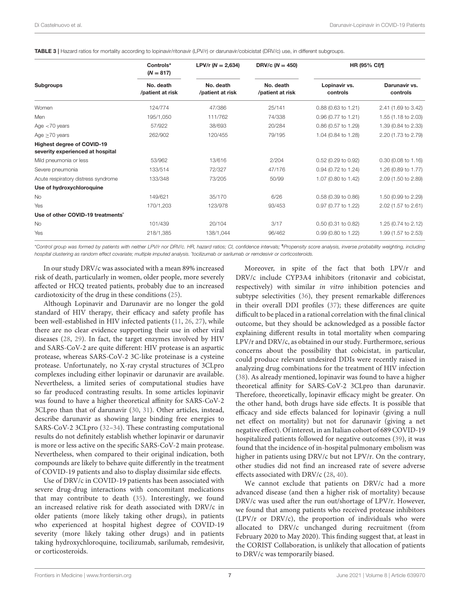<span id="page-6-0"></span>TABLE 3 | Hazard ratios for mortality according to lopinavir/ritonavir (LPV/r) or darunavir/cobicistat (DRV/c) use, in different subgroups.

| <b>Subgroups</b>                                                      | Controls*<br>$(N = 817)$<br>No. death<br>/patient at risk | LPV/r $(N = 2,634)$<br>No. death<br>/patient at risk | DRV/c $(N = 450)$<br>No. death<br>/patient at risk | <b>HR (95% CI)¶</b>       |                           |
|-----------------------------------------------------------------------|-----------------------------------------------------------|------------------------------------------------------|----------------------------------------------------|---------------------------|---------------------------|
|                                                                       |                                                           |                                                      |                                                    | Lopinavir vs.<br>controls | Darunavir vs.<br>controls |
| Women                                                                 | 124/774                                                   | 47/386                                               | 25/141                                             | 0.88 (0.63 to 1.21)       | 2.41 (1.69 to 3.42)       |
| Men                                                                   | 195/1,050                                                 | 111/762                                              | 74/338                                             | 0.96 (0.77 to 1.21)       | 1.55 (1.18 to 2.03)       |
| Age $<$ 70 years                                                      | 57/922                                                    | 38/693                                               | 20/284                                             | 0.86 (0.57 to 1.29)       | 1.39 (0.84 to 2.33)       |
| Age $\geq$ 70 years                                                   | 262/902                                                   | 120/455                                              | 79/195                                             | 1.04 (0.84 to 1.28)       | 2.20 (1.73 to 2.79)       |
| <b>Highest degree of COVID-19</b><br>severity experienced at hospital |                                                           |                                                      |                                                    |                           |                           |
| Mild pneumonia or less                                                | 53/962                                                    | 13/616                                               | 2/204                                              | 0.52 (0.29 to 0.92)       | $0.30$ (0.08 to 1.16)     |
| Severe pneumonia                                                      | 133/514                                                   | 72/327                                               | 47/176                                             | 0.94 (0.72 to 1.24)       | 1.26 (0.89 to 1.77)       |
| Acute respiratory distress syndrome                                   | 133/348                                                   | 73/205                                               | 50/99                                              | 1.07 (0.80 to 1.42)       | 2.09 (1.50 to 2.89)       |
| Use of hydroxychloroquine                                             |                                                           |                                                      |                                                    |                           |                           |
| <b>No</b>                                                             | 149/621                                                   | 35/170                                               | 6/26                                               | 0.58 (0.39 to 0.86)       | 1.50 (0.99 to 2.29)       |
| Yes                                                                   | 170/1,203                                                 | 123/978                                              | 93/453                                             | 0.97 (0.77 to 1.22)       | 2.02 (1.57 to 2.61)       |
| Use of other COVID-19 treatments <sup>*</sup>                         |                                                           |                                                      |                                                    |                           |                           |
| No                                                                    | 101/439                                                   | 20/104                                               | 3/17                                               | 0.50 (0.31 to 0.82)       | 1.25 (0.74 to 2.12)       |
| Yes                                                                   | 218/1,385                                                 | 138/1,044                                            | 96/462                                             | 0.99 (0.80 to 1.22)       | 1.99 (1.57 to 2.53)       |

\*Control group was formed by patients with neither LPV/r nor DRV/c. HR, hazard ratios; CI, confidence intervals; ¶Propensity score analysis, inverse probability weighting, including hospital clustering as random effect covariate; multiple imputed analysis. ˆtocilizumab or sarilumab or remdesivir or corticosteroids.

In our study DRV/c was associated with a mean 89% increased risk of death, particularly in women, older people, more severely affected or HCQ treated patients, probably due to an increased cardiotoxicity of the drug in these conditions [\(25\)](#page-8-18).

Although Lopinavir and Darunavir are no longer the gold standard of HIV therapy, their efficacy and safety profile has been well-established in HIV infected patients [\(11,](#page-8-4) [26,](#page-8-19) [27\)](#page-8-20), while there are no clear evidence supporting their use in other viral diseases [\(28,](#page-8-21) [29\)](#page-8-22). In fact, the target enzymes involved by HIV and SARS-CoV-2 are quite different: HIV protease is an aspartic protease, whereas SARS-CoV-2 3C-like proteinase is a cysteine protease. Unfortunately, no X-ray crystal structures of 3CLpro complexes including either lopinavir or darunavir are available. Nevertheless, a limited series of computational studies have so far produced contrasting results. In some articles lopinavir was found to have a higher theoretical affinity for SARS-CoV-2 3CLpro than that of darunavir [\(30,](#page-8-23) [31\)](#page-8-24). Other articles, instead, describe darunavir as showing large binding free energies to SARS-CoV-2 3CLpro [\(32–](#page-8-25)[34\)](#page-8-26). These contrasting computational results do not definitely establish whether lopinavir or darunavir is more or less active on the specific SARS-CoV-2 main protease. Nevertheless, when compared to their original indication, both compounds are likely to behave quite differently in the treatment of COVID-19 patients and also to display dissimilar side effects.

Use of DRV/c in COVID-19 patients has been associated with severe drug-drug interactions with concomitant medications that may contribute to death [\(35\)](#page-8-27). Interestingly, we found an increased relative risk for death associated with DRV/c in older patients (more likely taking other drugs), in patients who experienced at hospital highest degree of COVID-19 severity (more likely taking other drugs) and in patients taking hydroxychloroquine, tocilizumab, sarilumab, remdesivir, or corticosteroids.

Moreover, in spite of the fact that both LPV/r and DRV/c include CYP3A4 inhibitors (ritonavir and cobicistat, respectively) with similar *in vitro* inhibition potencies and subtype selectivities [\(36\)](#page-8-28), they present remarkable differences in their overall DDI profiles [\(37\)](#page-8-29); these differences are quite difficult to be placed in a rational correlation with the final clinical outcome, but they should be acknowledged as a possible factor explaining different results in total mortality when comparing LPV/r and DRV/c, as obtained in our study. Furthermore, serious concerns about the possibility that cobicistat, in particular, could produce relevant undesired DDIs were recently raised in analyzing drug combinations for the treatment of HIV infection [\(38\)](#page-8-30). As already mentioned, lopinavir was found to have a higher theoretical affinity for SARS-CoV-2 3CLpro than darunavir. Therefore, theoretically, lopinavir efficacy might be greater. On the other hand, both drugs have side effects. It is possible that efficacy and side effects balanced for lopinavir (giving a null net effect on mortality) but not for darunavir (giving a net negative effect). Of interest, in an Italian cohort of 689 COVID-19 hospitalized patients followed for negative outcomes [\(39\)](#page-8-31), it was found that the incidence of in-hospital pulmonary embolism was higher in patients using DRV/c but not LPV/r. On the contrary, other studies did not find an increased rate of severe adverse effects associated with DRV/c [\(28,](#page-8-21) [40\)](#page-8-32).

We cannot exclude that patients on DRV/c had a more advanced disease (and then a higher risk of mortality) because DRV/c was used after the run out/shortage of LPV/r. However, we found that among patients who received protease inhibitors (LPV/r or DRV/c), the proportion of individuals who were allocated to DRV/c unchanged during recruitment (from February 2020 to May 2020). This finding suggest that, at least in the CORIST Collaboration, is unlikely that allocation of patients to DRV/c was temporarily biased.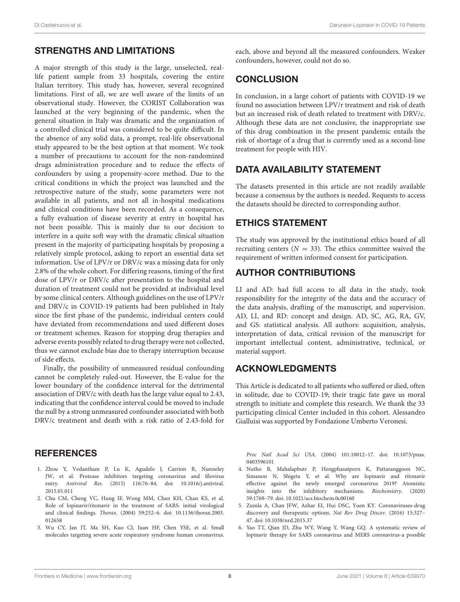# STRENGTHS AND LIMITATIONS

A major strength of this study is the large, unselected, reallife patient sample from 33 hospitals, covering the entire Italian territory. This study has, however, several recognized limitations. First of all, we are well aware of the limits of an observational study. However, the CORIST Collaboration was launched at the very beginning of the pandemic, when the general situation in Italy was dramatic and the organization of a controlled clinical trial was considered to be quite difficult. In the absence of any solid data, a prompt, real-life observational study appeared to be the best option at that moment. We took a number of precautions to account for the non-randomized drugs administration procedure and to reduce the effects of confounders by using a propensity-score method. Due to the critical conditions in which the project was launched and the retrospective nature of the study, some parameters were not available in all patients, and not all in-hospital medications and clinical conditions have been recorded. As a consequence, a fully evaluation of disease severity at entry in hospital has not been possible. This is mainly due to our decision to interfere in a quite soft way with the dramatic clinical situation present in the majority of participating hospitals by proposing a relatively simple protocol, asking to report an essential data set information. Use of LPV/r or DRV/c was a missing data for only 2.8% of the whole cohort. For differing reasons, timing of the first dose of LPV/r or DRV/c after presentation to the hospital and duration of treatment could not be provided at individual level by some clinical centers. Although guidelines on the use of LPV/r and DRV/c in COVID-19 patients had been published in Italy since the first phase of the pandemic, individual centers could have deviated from recommendations and used different doses or treatment schemes. Reason for stopping drug therapies and adverse events possibly related to drug therapy were not collected, thus we cannot exclude bias due to therapy interruption because of side effects.

Finally, the possibility of unmeasured residual confounding cannot be completely ruled-out. However, the E-value for the lower boundary of the confidence interval for the detrimental association of DRV/c with death has the large value equal to 2.43, indicating that the confidence interval could be moved to include the null by a strong unmeasured confounder associated with both DRV/c treatment and death with a risk ratio of 2.43-fold for

# **REFERENCES**

- <span id="page-7-0"></span>1. Zhou Y, Vedantham P, Lu K, Agudelo J, Carrion R, Nunneley JW, et al. Protease inhibitors targeting coronavirus and filovirus entry. Antiviral Res. [\(2015\) 116:76–84. doi: 10.1016/j.antiviral.](https://doi.org/10.1016/j.antiviral.2015.01.011) 2015.01.011
- <span id="page-7-1"></span>2. Chu CM, Cheng VC, Hung IF, Wong MM, Chan KH, Chan KS, et al. Role of lopinavir/ritonavir in the treatment of SARS: initial virological and clinical findings. Thorax. [\(2004\) 59:252–6. doi: 10.1136/thorax.2003.](https://doi.org/10.1136/thorax.2003.012658) 012658
- <span id="page-7-2"></span>3. Wu CY, Jan JT, Ma SH, Kuo CJ, Juan HF, Chen YSE, et al. Small molecules targeting severe acute respiratory syndrome human coronavirus.

each, above and beyond all the measured confounders. Weaker confounders, however, could not do so.

# **CONCLUSION**

In conclusion, in a large cohort of patients with COVID-19 we found no association between LPV/r treatment and risk of death but an increased risk of death related to treatment with DRV/c. Although these data are not conclusive, the inappropriate use of this drug combination in the present pandemic entails the risk of shortage of a drug that is currently used as a second-line treatment for people with HIV.

# DATA AVAILABILITY STATEMENT

The datasets presented in this article are not readily available because a consensus by the authors is needed. Requests to access the datasets should be directed to corresponding author.

# ETHICS STATEMENT

The study was approved by the institutional ethics board of all recruiting centers ( $N = 33$ ). The ethics committee waived the requirement of written informed consent for participation.

# AUTHOR CONTRIBUTIONS

LI and AD: had full access to all data in the study, took responsibility for the integrity of the data and the accuracy of the data analysis, drafting of the manuscript, and supervision. AD, LI, and RD: concept and design. AD, SC, AG, RA, GV, and GS: statistical analysis. All authors: acquisition, analysis, interpretation of data, critical revision of the manuscript for important intellectual content, administrative, technical, or material support.

# ACKNOWLEDGMENTS

This Article is dedicated to all patients who suffered or died, often in solitude, due to COVID-19; their tragic fate gave us moral strength to initiate and complete this research. We thank the 33 participating clinical Center included in this cohort. Alessandro Gialluisi was supported by Fondazione Umberto Veronesi.

Proc Natl Acad Sci USA. [\(2004\) 101:10012–17. doi: 10.1073/pnas.](https://doi.org/10.1073/pnas.0403596101) 0403596101

- <span id="page-7-3"></span>4. Nutho B, Mahalapbutr P, Hengphasatporn K, Pattaranggoon NC, Simanon N, Shigeta Y, et al. Why are lopinavir and ritonavir effective against the newly emerged coronavirus 2019? Atomistic insights into the inhibitory mechanisms. Biochemistry. (2020) 59:1769–79. doi: [10.1021/acs.biochem.0c00160](https://doi.org/10.1021/acs.biochem.0c00160)
- <span id="page-7-4"></span>5. Zumla A, Chan JFW, Azhar EI, Hui DSC, Yuen KY. Coronaviruses-drug discovery and therapeutic options. Nat Rev Drug Discov. (2016) 15:327– 47. doi: [10.1038/nrd.2015.37](https://doi.org/10.1038/nrd.2015.37)
- <span id="page-7-5"></span>6. Yao TT, Qian JD, Zhu WY, Wang Y, Wang GQ. A systematic review of lopinavir therapy for SARS coronavirus and MERS coronavirus-a possible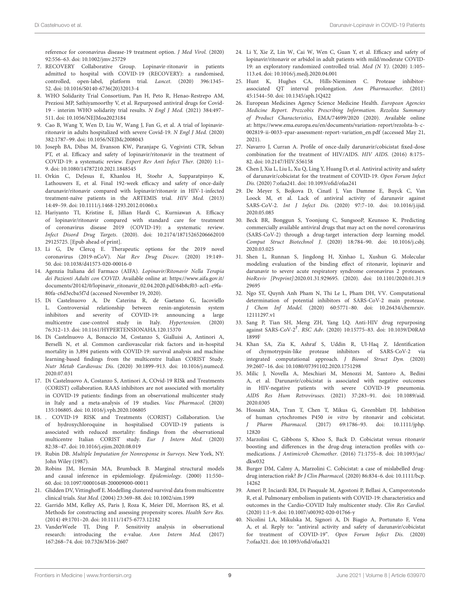reference for coronavirus disease-19 treatment option. J Med Virol. (2020) 92:556–63. doi: [10.1002/jmv.25729](https://doi.org/10.1002/jmv.25729)

- <span id="page-8-0"></span>7. RECOVERY Collaborative Group. Lopinavir-ritonavir in patients admitted to hospital with COVID-19 (RECOVERY): a randomised, controlled, open-label, platform trial. Lancet. (2020) 396:1345– 52. doi: [10.1016/S0140-6736\(20\)32013-4](https://doi.org/10.1016/S0140-6736(20)32013-4)
- <span id="page-8-1"></span>8. WHO Solidarity Trial Consortium, Pan H, Peto R, Henao-Restrepo AM, Preziosi MP, Sathiyamoorthy V, et al. Repurposed antiviral drugs for Covid-19 - interim WHO solidarity trial results. N Engl J Med. (2021) 384:497– 511. doi: [10.1056/NEJMoa2023184](https://doi.org/10.1056/NEJMoa2023184)
- <span id="page-8-2"></span>9. Cao B, Wang Y, Wen D, Liu W, Wang J, Fan G, et al. A trial of lopinavirritonavir in adults hospitalized with severe Covid-19. N Engl J Med. (2020) 382:1787–99. doi: [10.1056/NEJMc2008043](https://doi.org/10.1056/NEJMc2008043)
- <span id="page-8-3"></span>10. Joseph BA, Dibas M, Evanson KW, Paranjape G, Vegivinti CTR, Selvan PT, et al. Efficacy and safety of lopinavir/ritonavir in the treatment of COVID-19: a systematic review. Expert Rev Anti Infect Ther. (2020) 1:1– 9. doi: [10.1080/14787210.2021.1848545](https://doi.org/10.1080/14787210.2021.1848545)
- <span id="page-8-4"></span>11. Orkin C, DeJesus E, Khanlou H, Stoehr A, Supparatpinyo K, Lathouwers E, et al. Final 192-week efficacy and safety of once-daily darunavir/ritonavir compared with lopinavir/ritonavir in HIV-1-infected treatment-naïve patients in the ARTEMIS trial. HIV Med. (2013) 14:49–59. doi: [10.1111/j.1468-1293.2012.01060.x](https://doi.org/10.1111/j.1468-1293.2012.01060.x)
- <span id="page-8-5"></span>12. Hariyanto TI, Kristine E, Jillian Hardi C, Kurniawan A. Efficacy of lopinavir/ritonavir compared with standard care for treatment of coronavirus disease 2019 (COVID-19): a systematic review. Infect Disord Drug Targets[. \(2020\). doi: 10.2174/18715265206662010](https://doi.org/10.2174/1871526520666201029125725) 29125725. [Epub ahead of print].
- <span id="page-8-6"></span>13. Li G, De Clercq E. Therapeutic options for the 2019 novel coronavirus (2019-nCoV). Nat Rev Drug Discov. (2020) 19:149– 50. doi: [10.1038/d41573-020-00016-0](https://doi.org/10.1038/d41573-020-00016-0)
- <span id="page-8-7"></span>14. Agenzia Italiana del Farmaco (AIFA). Lopinavir/Ritonavir Nella Terapia dei Pazienti Adulti con COVID. Available online at: [https://www.aifa.gov.it/](https://www.aifa.gov.it/documents/20142/0/lopinavir_ritonavir_02.04.2020.pdf/64b8cf03-acf1-e9fa-80fa-c6d3ecba5f7d) [documents/20142/0/lopinavir\\_ritonavir\\_02.04.2020.pdf/64b8cf03-acf1-e9fa-](https://www.aifa.gov.it/documents/20142/0/lopinavir_ritonavir_02.04.2020.pdf/64b8cf03-acf1-e9fa-80fa-c6d3ecba5f7d)[80fa-c6d3ecba5f7d](https://www.aifa.gov.it/documents/20142/0/lopinavir_ritonavir_02.04.2020.pdf/64b8cf03-acf1-e9fa-80fa-c6d3ecba5f7d) (accessed November 19, 2020).
- <span id="page-8-8"></span>15. Di Castelnuovo A, De Caterina R, de Gaetano G, Iacoviello L. Controversial relationship between renin-angiotensin system inhibitors and severity of COVID-19: announcing a large multicentre case-control study in Italy. Hypertension. (2020) 76:312–13. doi: [10.1161/HYPERTENSIONAHA.120.15370](https://doi.org/10.1161/HYPERTENSIONAHA.120.15370)
- <span id="page-8-9"></span>16. Di Castelnuovo A, Bonaccio M, Costanzo S, Gialluisi A, Antinori A, Berselli N, et al. Common cardiovascular risk factors and in-hospital mortality in 3,894 patients with COVID-19: survival analysis and machine learning-based findings from the multicentre Italian CORIST Study. Nutr Metab Cardiovasc Dis. [\(2020\) 30:1899–913. doi: 10.1016/j.numecd.](https://doi.org/10.1016/j.numecd.2020.07.031) 2020.07.031
- <span id="page-8-10"></span>17. Di Castelnuovo A, Costanzo S, Antinori A, COvid-19 RISk and Treatments (CORIST) collaboration. RAAS inhibitors are not associated with mortality in COVID-19 patients: findings from an observational multicenter study in Italy and a meta-analysis of 19 studies. Vasc Pharmacol. (2020) 135:106805. doi: [10.1016/j.vph.2020.106805](https://doi.org/10.1016/j.vph.2020.106805)
- <span id="page-8-11"></span>18. . COVID-19 RISK and Treatments (CORIST) Collaboration. Use of hydroxychloroquine in hospitalised COVID-19 patients is associated with reduced mortality: findings from the observational multicentre Italian CORIST study. Eur J Intern Med. (2020) 82:38–47. doi: [10.1016/j.ejim.2020.08.019](https://doi.org/10.1016/j.ejim.2020.08.019)
- <span id="page-8-12"></span>19. Rubin DB. Multiple Imputation for Nonresponse in Surveys. New York, NY: John Wiley (1987).
- <span id="page-8-13"></span>20. Robins JM, Hernán MA, Brumback B. Marginal structural models and causal inference in epidemiology. Epidemiology. (2000) 11:550– 60. doi: [10.1097/00001648-200009000-00011](https://doi.org/10.1097/00001648-200009000-00011)
- <span id="page-8-14"></span>21. Glidden DV, Vittinghoff E. Modelling clustered survival data from multicentre clinical trials. Stat Med. (2004) 23:369–88. doi: [10.1002/sim.1599](https://doi.org/10.1002/sim.1599)
- <span id="page-8-15"></span>22. Garrido MM, Kelley AS, Paris J, Roza K, Meier DE, Morrison RS, et al. Methods for constructing and assessing propensity scores. Health Serv Res. (2014) 49:1701–20. doi: [10.1111/1475-6773.12182](https://doi.org/10.1111/1475-6773.12182)
- <span id="page-8-16"></span>23. VanderWeele TJ, Ding P. Sensitivity analysis in observational research: introducing the e-value. Ann Intern Med. (2017) 167:268–74. doi: [10.7326/M16-2607](https://doi.org/10.7326/M16-2607)
- <span id="page-8-17"></span>24. Li Y, Xie Z, Lin W, Cai W, Wen C, Guan Y, et al. Efficacy and safety of lopinavir/ritonavir or arbidol in adult patients with mild/moderate COVID-19: an exploratory randomized controlled trial. Med (N Y). (2020) 1:105– 113.e4. doi: [10.1016/j.medj.2020.04.001](https://doi.org/10.1016/j.medj.2020.04.001)
- <span id="page-8-18"></span>25. Hunt K, Hughes CA, Hills-Nieminen C. Protease inhibitorassociated QT interval prolongation. Ann Pharmacother. (2011) 45:1544–50. doi: [10.1345/aph.1Q422](https://doi.org/10.1345/aph.1Q422)
- <span id="page-8-19"></span>26. European Medicines Agency Science Medicine Health. European Agencies Medicine Report. Prezcobix Prescribing Information. Rezolsta Summary of Product Characteristics, EMA/74699/2020 (2020). Available online at: [https://www.ema.europa.eu/en/documents/variation-report/rezolsta-h-c-](https://www.ema.europa.eu/en/documents/variation-report/rezolsta-h-c-002819-ii-0033-epar-assessment-report-variation_en.pdf)[002819-ii-0033-epar-assessment-report-variation\\_en.pdf](https://www.ema.europa.eu/en/documents/variation-report/rezolsta-h-c-002819-ii-0033-epar-assessment-report-variation_en.pdf) (accessed May 21, 2021).
- <span id="page-8-20"></span>27. Navarro J, Curran A. Profile of once-daily darunavir/cobicistat fixed-dose combination for the treatment of HIV/AIDS. HIV AIDS. (2016) 8:175– 82. doi: [10.2147/HIV.S56158](https://doi.org/10.2147/HIV.S56158)
- <span id="page-8-21"></span>28. Chen J, Xia L, Liu L, Xu Q, Ling Y, Huang D, et al. Antiviral activity and safety of darunavir/cobicistat for the treatment of COVID-19. Open Forum Infect Dis. (2020) 7:ofaa241. doi: [10.1093/ofid/ofaa241](https://doi.org/10.1093/ofid/ofaa241)
- <span id="page-8-22"></span>29. De Meyer S, Bojkova D, Cinatl J, Van Damme E, Buyck C, Van Loock M, et al. Lack of antiviral activity of darunavir against SARS-CoV-2. Int J Infect Dis. [\(2020\) 97:7–10. doi: 10.1016/j.ijid.](https://doi.org/10.1016/j.ijid.2020.05.085) 2020.05.085
- <span id="page-8-23"></span>30. Beck BR, Bonggun S, Yoonjung C, SungsooP, Keunsoo K. Predicting commercially available antiviral drugs that may act on the novel coronavirus (SARS-CoV-2) through a drug-target interaction deep learning model. Comput Struct Biotechnol J[. \(2020\) 18:784–90. doi: 10.1016/j.csbj.](https://doi.org/10.1016/j.csbj.2020.03.025) 2020.03.025
- <span id="page-8-24"></span>31. Shen L, Runnan S, Jingdong H, Xinhao L, Xushun G. Molecular modeling evaluation of the binding effect of ritonavir, lopinavir and darunavir to severe acute respiratory syndrome coronavirus 2 proteases. bioRxviv [Preprint][:2020.01.31.929695. \(2020\). doi: 10.1101/2020.01.31.9](https://doi.org/10.1101/2020.01.31.929695) 29695
- <span id="page-8-25"></span>32. Ngo ST, Quynh Anh Pham N, Thi Le L, Pham DH, VV. Computational determination of potential inhibitors of SARS-CoV-2 main protease. J Chem Inf Model. [\(2020\) 60:5771–80. doi: 10.26434/chemrxiv.](https://doi.org/10.26434/chemrxiv.12111297.v1) 12111297.v1
- 33. Sang P, Tian SH, Meng ZH, Yang LQ. Anti-HIV drug repurposing against SARS-CoV-2<sup>†</sup>. RSC Adv. (2020) 10:15775-83. doi: 10.1039/D0RA0 1899F
- <span id="page-8-26"></span>34. Khan SA, Zia K, Ashraf S, Uddin R, Ul-Haq Z. Identification of chymotrypsin-like protease inhibitors of SARS-CoV-2 via integrated computational approach. J Biomol Struct Dyn. (2020) 39:2607–16. doi: [10.1080/07391102.2020.1751298](https://doi.org/10.1080/07391102.2020.1751298)
- <span id="page-8-27"></span>35. Milic J, Novella A, Meschiari M, Menozzi M, Santoro A, Bedini A, et al. Darunavir/cobicistat is associated with negative outcomes in HIV-negative patients with severe COVID-19 pneumonia. AIDS Res Hum Retroviruses. [\(2021\) 37:283–91. doi: 10.1089/aid.](https://doi.org/10.1089/aid.2020.0305) 2020.0305
- <span id="page-8-28"></span>36. Hossain MA, Tran T, Chen T, Mikus G, Greenblatt DJ. Inhibition of human cytochromes P450 in vitro by ritonavir and cobicistat. J Pharm Pharmacol. [\(2017\) 69:1786–93. doi: 10.1111/jphp.](https://doi.org/10.1111/jphp.12820) 12820
- <span id="page-8-29"></span>37. Marzolini C, Gibbons S, Khoo S, Back D. Cobicistat versus ritonavir boosting and differences in the drug-drug interaction profiles with comedications. J Antimicrob Chemother. [\(2016\) 71:1755–8. doi: 10.1093/jac/](https://doi.org/10.1093/jac/dkw032) dkw032
- <span id="page-8-30"></span>38. Burger DM, Calmy A, Marzolini C. Cobicistat: a case of mislabelled drugdrug interaction risk? Br J Clin Pharmacol. [\(2020\) 86:834–6. doi: 10.1111/bcp.](https://doi.org/10.1111/bcp.14262) 14262
- <span id="page-8-31"></span>39. Ameri P, Inciardi RM, Di Pasquale M, Agostoni P, Bellasi A, Camporotondo R, et al. Pulmonary embolism in patients with COVID-19: characteristics and outcomes in the Cardio-COVID Italy multicenter study. Clin Res Cardiol. (2020) 1:1–9. doi: [10.1007/s00392-020-01766-y](https://doi.org/10.1007/s00392-020-01766-y)
- <span id="page-8-32"></span>40. Nicolini LA, Mikulska M, Signori A, Di Biagio A, Portunato F, Vena A, et al. Reply to: "antiviral activity and safety of darunavir/cobicistat for treatment of COVID-19". Open Forum Infect Dis. (2020) 7:ofaa321. doi: [10.1093/ofid/ofaa321](https://doi.org/10.1093/ofid/ofaa321)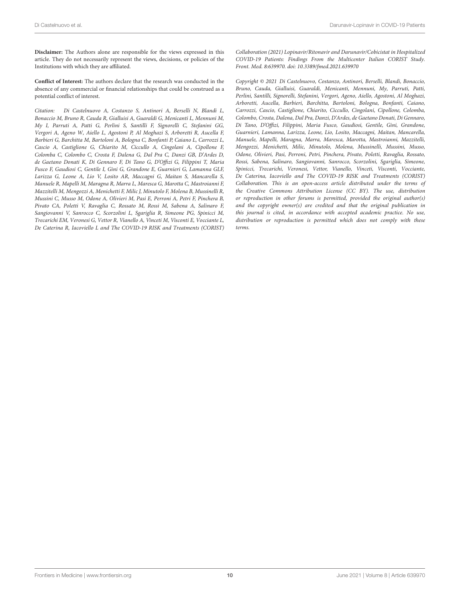**Disclaimer:** The Authors alone are responsible for the views expressed in this article. They do not necessarily represent the views, decisions, or policies of the Institutions with which they are affiliated.

**Conflict of Interest:** The authors declare that the research was conducted in the absence of any commercial or financial relationships that could be construed as a potential conflict of interest.

Citation: Di Castelnuovo A, Costanzo S, Antinori A, Berselli N, Blandi L, Bonaccio M, Bruno R, Cauda R, Gialluisi A, Guaraldi G, Menicanti L, Mennuni M, My I, Parruti A, Patti G, Perlini S, Santilli F, Signorelli C, Stefanini GG, Vergori A, Ageno W, Aiello L, Agostoni P, Al Moghazi S, Arboretti R, Aucella F, Barbieri G, Barchitta M, Bartoloni A, Bologna C, Bonfanti P, Caiano L, Carrozzi L, Cascio A, Castiglione G, Chiarito M, Ciccullo A, Cingolani A, Cipollone F, Colomba C, Colombo C, Crosta F, Dalena G, Dal Pra C, Danzi GB, D'Ardes D, de Gaetano Donati K, Di Gennaro F, Di Tano G, D'Offizi G, Filippini T, Maria Fusco F, Gaudiosi C, Gentile I, Gini G, Grandone E, Guarnieri G, Lamanna GLF, Larizza G, Leone A, Lio V, Losito AR, Maccagni G, Maitan S, Mancarella S, Manuele R, Mapelli M, Maragna R, Marra L, Maresca G, Marotta C, Mastroianni F, Mazzitelli M, Mengozzi A, Menichetti F, Milic J, Minutolo F, Molena B, Mussinelli R, Mussini C, Musso M, Odone A, Olivieri M, Pasi E, Perroni A, Petri F, Pinchera B, Pivato CA, Poletti V, Ravaglia C, Rossato M, Rossi M, Sabena A, Salinaro F, Sangiovanni V, Sanrocco C, Scorzolini L, Sgariglia R, Simeone PG, Spinicci M, Trecarichi EM, Veronesi G, Vettor R, Vianello A, Vinceti M, Visconti E, Vocciante L, De Caterina R, Iacoviello L and The COVID-19 RISK and Treatments (CORIST)

Collaboration (2021) Lopinavir/Ritonavir and Darunavir/Cobicistat in Hospitalized COVID-19 Patients: Findings From the Multicenter Italian CORIST Study. Front. Med. 8:639970. doi: [10.3389/fmed.2021.639970](https://doi.org/10.3389/fmed.2021.639970)

Copyright © 2021 Di Castelnuovo, Costanzo, Antinori, Berselli, Blandi, Bonaccio, Bruno, Cauda, Gialluisi, Guaraldi, Menicanti, Mennuni, My, Parruti, Patti, Perlini, Santilli, Signorelli, Stefanini, Vergori, Ageno, Aiello, Agostoni, Al Moghazi, Arboretti, Aucella, Barbieri, Barchitta, Bartoloni, Bologna, Bonfanti, Caiano, Carrozzi, Cascio, Castiglione, Chiarito, Ciccullo, Cingolani, Cipollone, Colomba, Colombo, Crosta, Dalena, Dal Pra, Danzi, D'Ardes, de Gaetano Donati, Di Gennaro, Di Tano, D'Offizi, Filippini, Maria Fusco, Gaudiosi, Gentile, Gini, Grandone, Guarnieri, Lamanna, Larizza, Leone, Lio, Losito, Maccagni, Maitan, Mancarella, Manuele, Mapelli, Maragna, Marra, Maresca, Marotta, Mastroianni, Mazzitelli, Mengozzi, Menichetti, Milic, Minutolo, Molena, Mussinelli, Mussini, Musso, Odone, Olivieri, Pasi, Perroni, Petri, Pinchera, Pivato, Poletti, Ravaglia, Rossato, Rossi, Sabena, Salinaro, Sangiovanni, Sanrocco, Scorzolini, Sgariglia, Simeone, Spinicci, Trecarichi, Veronesi, Vettor, Vianello, Vinceti, Visconti, Vocciante, De Caterina, Iacoviello and The COVID-19 RISK and Treatments (CORIST) Collaboration. This is an open-access article distributed under the terms of the [Creative Commons Attribution License \(CC BY\).](http://creativecommons.org/licenses/by/4.0/) The use, distribution or reproduction in other forums is permitted, provided the original author(s) and the copyright owner(s) are credited and that the original publication in this journal is cited, in accordance with accepted academic practice. No use, distribution or reproduction is permitted which does not comply with these terms.